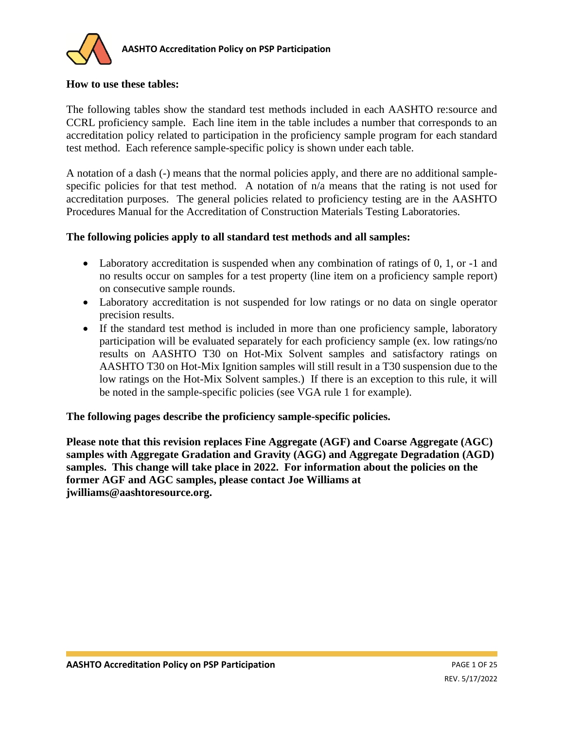

#### **How to use these tables:**

The following tables show the standard test methods included in each AASHTO re:source and CCRL proficiency sample. Each line item in the table includes a number that corresponds to an accreditation policy related to participation in the proficiency sample program for each standard test method. Each reference sample-specific policy is shown under each table.

A notation of a dash (-) means that the normal policies apply, and there are no additional samplespecific policies for that test method. A notation of n/a means that the rating is not used for accreditation purposes. The general policies related to proficiency testing are in the AASHTO Procedures Manual for the Accreditation of Construction Materials Testing Laboratories.

#### **The following policies apply to all standard test methods and all samples:**

- Laboratory accreditation is suspended when any combination of ratings of 0, 1, or -1 and no results occur on samples for a test property (line item on a proficiency sample report) on consecutive sample rounds.
- Laboratory accreditation is not suspended for low ratings or no data on single operator precision results.
- If the standard test method is included in more than one proficiency sample, laboratory participation will be evaluated separately for each proficiency sample (ex. low ratings/no results on AASHTO T30 on Hot-Mix Solvent samples and satisfactory ratings on AASHTO T30 on Hot-Mix Ignition samples will still result in a T30 suspension due to the low ratings on the Hot-Mix Solvent samples.) If there is an exception to this rule, it will be noted in the sample-specific policies (see VGA rule 1 for example).

#### **The following pages describe the proficiency sample-specific policies.**

**Please note that this revision replaces Fine Aggregate (AGF) and Coarse Aggregate (AGC) samples with Aggregate Gradation and Gravity (AGG) and Aggregate Degradation (AGD) samples. This change will take place in 2022. For information about the policies on the former AGF and AGC samples, please contact Joe Williams at jwilliams@aashtoresource.org.**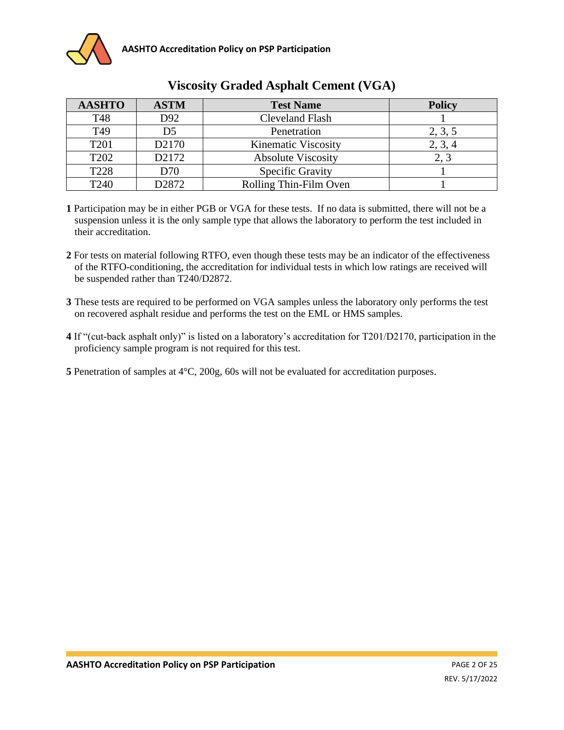

| <b>AASHTO</b>    | <b>ASTM</b>       | <b>Test Name</b>          | <b>Policy</b> |
|------------------|-------------------|---------------------------|---------------|
| T48              | D92               | <b>Cleveland Flash</b>    |               |
| T49              | D <sub>5</sub>    | Penetration               | 2, 3, 5       |
| T <sub>201</sub> | D <sub>2170</sub> | Kinematic Viscosity       | 2, 3, 4       |
| T <sub>202</sub> | D2172             | <b>Absolute Viscosity</b> |               |
| T228             | D70               | Specific Gravity          |               |
| T240             | D2872             | Rolling Thin-Film Oven    |               |

## **Viscosity Graded Asphalt Cement (VGA)**

- **1** Participation may be in either PGB or VGA for these tests. If no data is submitted, there will not be a suspension unless it is the only sample type that allows the laboratory to perform the test included in their accreditation.
- **2** For tests on material following RTFO, even though these tests may be an indicator of the effectiveness of the RTFO-conditioning, the accreditation for individual tests in which low ratings are received will be suspended rather than T240/D2872.
- **3** These tests are required to be performed on VGA samples unless the laboratory only performs the test on recovered asphalt residue and performs the test on the EML or HMS samples.
- **4** If "(cut-back asphalt only)" is listed on a laboratory's accreditation for T201/D2170, participation in the proficiency sample program is not required for this test.

**5** Penetration of samples at 4°C, 200g, 60s will not be evaluated for accreditation purposes.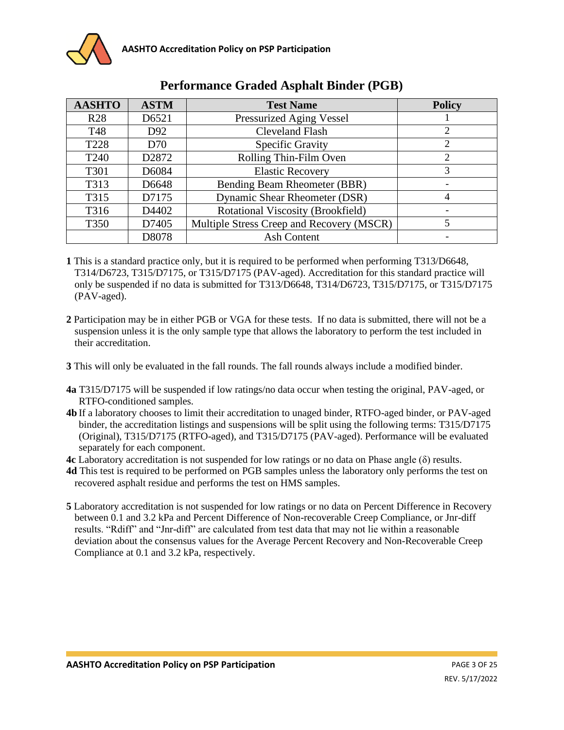

| <b>AASHTO</b>    | <b>ASTM</b>       | <b>Test Name</b>                          | <b>Policy</b> |
|------------------|-------------------|-------------------------------------------|---------------|
| <b>R28</b>       | D6521             | <b>Pressurized Aging Vessel</b>           |               |
| T48              | D <sub>92</sub>   | <b>Cleveland Flash</b>                    | 2             |
| T <sub>228</sub> | D70               | Specific Gravity                          | 2             |
| T <sub>240</sub> | D <sub>2872</sub> | Rolling Thin-Film Oven                    | 2             |
| T301             | D6084             | <b>Elastic Recovery</b>                   | 3             |
| T313             | D6648             | Bending Beam Rheometer (BBR)              |               |
| T315             | D7175             | Dynamic Shear Rheometer (DSR)             | 4             |
| T316             | D4402             | Rotational Viscosity (Brookfield)         |               |
| <b>T350</b>      | D7405             | Multiple Stress Creep and Recovery (MSCR) | 5             |
|                  | D8078             | <b>Ash Content</b>                        |               |

### **Performance Graded Asphalt Binder (PGB)**

- **1** This is a standard practice only, but it is required to be performed when performing T313/D6648, T314/D6723, T315/D7175, or T315/D7175 (PAV-aged). Accreditation for this standard practice will only be suspended if no data is submitted for T313/D6648, T314/D6723, T315/D7175, or T315/D7175 (PAV-aged).
- **2** Participation may be in either PGB or VGA for these tests. If no data is submitted, there will not be a suspension unless it is the only sample type that allows the laboratory to perform the test included in their accreditation.
- **3** This will only be evaluated in the fall rounds. The fall rounds always include a modified binder.
- **4a** T315/D7175 will be suspended if low ratings/no data occur when testing the original, PAV-aged, or RTFO-conditioned samples.
- **4b** If a laboratory chooses to limit their accreditation to unaged binder, RTFO-aged binder, or PAV-aged binder, the accreditation listings and suspensions will be split using the following terms: T315/D7175 (Original), T315/D7175 (RTFO-aged), and T315/D7175 (PAV-aged). Performance will be evaluated separately for each component.
- **4c** Laboratory accreditation is not suspended for low ratings or no data on Phase angle (δ) results.
- **4d** This test is required to be performed on PGB samples unless the laboratory only performs the test on recovered asphalt residue and performs the test on HMS samples.
- **5** Laboratory accreditation is not suspended for low ratings or no data on Percent Difference in Recovery between 0.1 and 3.2 kPa and Percent Difference of Non-recoverable Creep Compliance, or Jnr-diff results. "Rdiff" and "Jnr-diff" are calculated from test data that may not lie within a reasonable deviation about the consensus values for the Average Percent Recovery and Non-Recoverable Creep Compliance at 0.1 and 3.2 kPa, respectively.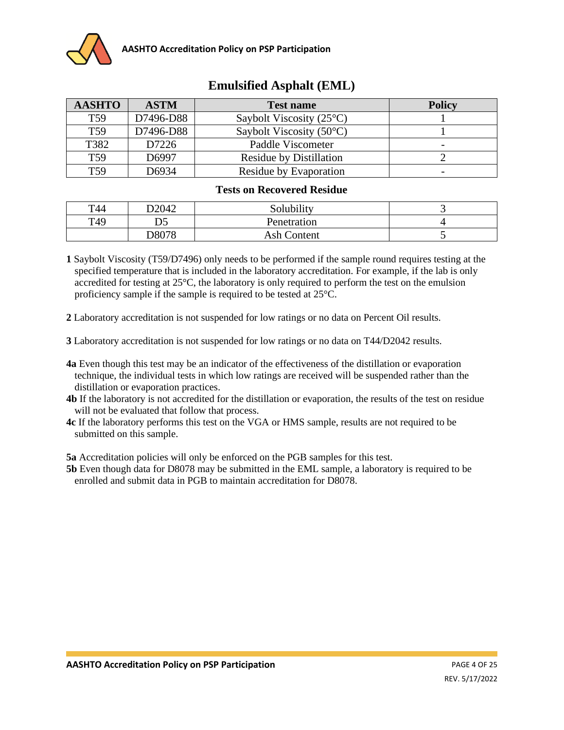

| <b>AASHTO</b>   | <b>ASTM</b> | <b>Test name</b>                  | <b>Policy</b> |
|-----------------|-------------|-----------------------------------|---------------|
| T <sub>59</sub> | D7496-D88   | Saybolt Viscosity $(25^{\circ}C)$ |               |
| T <sub>59</sub> | D7496-D88   | Saybolt Viscosity $(50^{\circ}C)$ |               |
| T382            | D7226       | Paddle Viscometer                 | -             |
| T <sub>59</sub> | D6997       | <b>Residue by Distillation</b>    |               |
| T59             | D6934       | Residue by Evaporation            |               |

# **Emulsified Asphalt (EML)**

#### **Tests on Recovered Residue**

| T44 | D2042    | Solubility         |  |
|-----|----------|--------------------|--|
| T49 | nc<br>ມມ | Penetration        |  |
|     | D8078    | <b>Ash Content</b> |  |

- **1** Saybolt Viscosity (T59/D7496) only needs to be performed if the sample round requires testing at the specified temperature that is included in the laboratory accreditation. For example, if the lab is only accredited for testing at  $25^{\circ}$ C, the laboratory is only required to perform the test on the emulsion proficiency sample if the sample is required to be tested at 25°C.
- **2** Laboratory accreditation is not suspended for low ratings or no data on Percent Oil results.
- **3** Laboratory accreditation is not suspended for low ratings or no data on T44/D2042 results.
- **4a** Even though this test may be an indicator of the effectiveness of the distillation or evaporation technique, the individual tests in which low ratings are received will be suspended rather than the distillation or evaporation practices.
- **4b** If the laboratory is not accredited for the distillation or evaporation, the results of the test on residue will not be evaluated that follow that process.
- **4c** If the laboratory performs this test on the VGA or HMS sample, results are not required to be submitted on this sample.

**5a** Accreditation policies will only be enforced on the PGB samples for this test.

**5b** Even though data for D8078 may be submitted in the EML sample, a laboratory is required to be enrolled and submit data in PGB to maintain accreditation for D8078.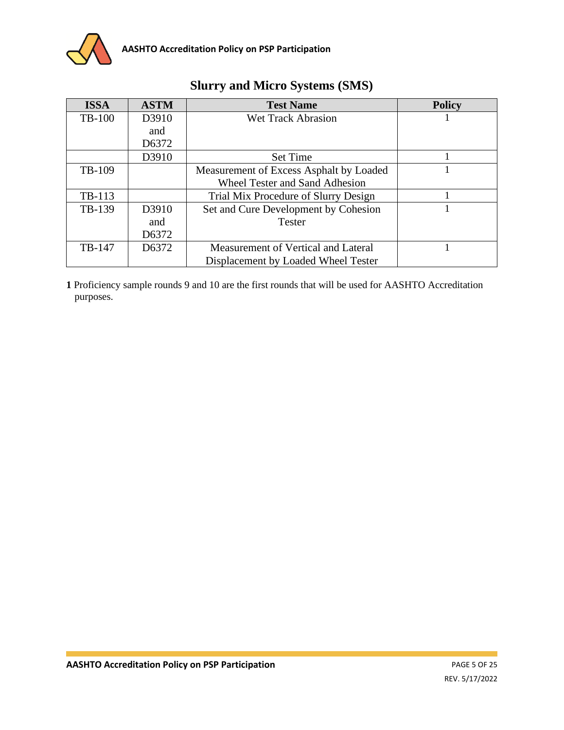

| <b>ISSA</b>   | <b>ASTM</b> | <b>Test Name</b>                        | <b>Policy</b> |
|---------------|-------------|-----------------------------------------|---------------|
| <b>TB-100</b> | D3910       | <b>Wet Track Abrasion</b>               |               |
|               | and         |                                         |               |
|               | D6372       |                                         |               |
|               | D3910       | <b>Set Time</b>                         |               |
| TB-109        |             | Measurement of Excess Asphalt by Loaded |               |
|               |             | <b>Wheel Tester and Sand Adhesion</b>   |               |
| TB-113        |             | Trial Mix Procedure of Slurry Design    |               |
| TB-139        | D3910       | Set and Cure Development by Cohesion    |               |
|               | and         | <b>Tester</b>                           |               |
|               | D6372       |                                         |               |
| TB-147        | D6372       | Measurement of Vertical and Lateral     |               |
|               |             | Displacement by Loaded Wheel Tester     |               |

# **Slurry and Micro Systems (SMS)**

**1** Proficiency sample rounds 9 and 10 are the first rounds that will be used for AASHTO Accreditation purposes.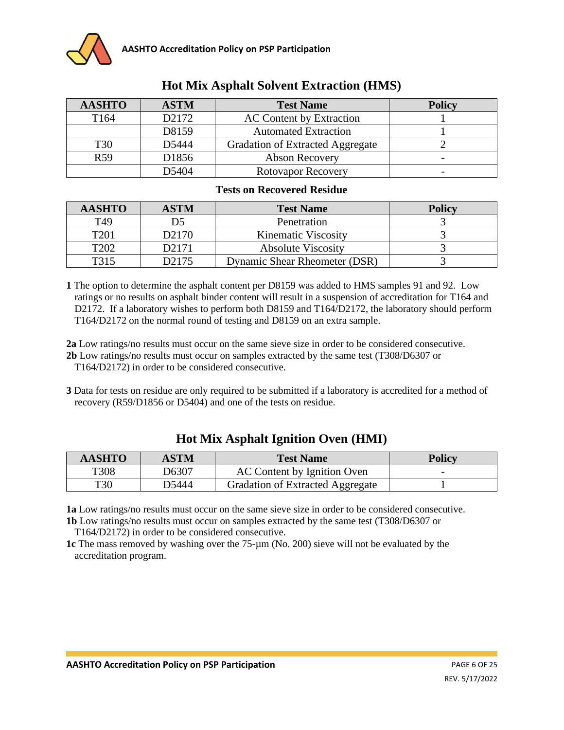

| <b>AASHTO</b>   | <b>ASTM</b>       | <b>Test Name</b>                 | <b>Policy</b> |
|-----------------|-------------------|----------------------------------|---------------|
| T164            | D <sub>2172</sub> | <b>AC Content by Extraction</b>  |               |
|                 | D8159             | <b>Automated Extraction</b>      |               |
| <b>T30</b>      | D5444             | Gradation of Extracted Aggregate |               |
| R <sub>59</sub> | D1856             | <b>Abson Recovery</b>            |               |
|                 | D5404             | <b>Rotovapor Recovery</b>        |               |

## **Hot Mix Asphalt Solvent Extraction (HMS)**

#### **Tests on Recovered Residue**

| <b>AASHTO</b>    | ASTM               | <b>Test Name</b>              | <b>Policy</b> |
|------------------|--------------------|-------------------------------|---------------|
| T49              |                    | Penetration                   |               |
| T <sub>201</sub> | D <sub>2</sub> 170 | Kinematic Viscosity           |               |
| T <sub>202</sub> | D2171              | <b>Absolute Viscosity</b>     |               |
| T314             | D2175              | Dynamic Shear Rheometer (DSR) |               |

**1** The option to determine the asphalt content per D8159 was added to HMS samples 91 and 92. Low ratings or no results on asphalt binder content will result in a suspension of accreditation for T164 and D2172. If a laboratory wishes to perform both D8159 and T164/D2172, the laboratory should perform T164/D2172 on the normal round of testing and D8159 on an extra sample.

**2a** Low ratings/no results must occur on the same sieve size in order to be considered consecutive. **2b** Low ratings/no results must occur on samples extracted by the same test (T308/D6307 or T164/D2172) in order to be considered consecutive.

**3** Data for tests on residue are only required to be submitted if a laboratory is accredited for a method of recovery (R59/D1856 or D5404) and one of the tests on residue.

| AASHTO      | ASTM  | <b>Test Name</b>                        | <b>Policy</b> |
|-------------|-------|-----------------------------------------|---------------|
| <b>T308</b> | D6307 | AC Content by Ignition Oven             | -             |
| <b>T30</b>  | D5444 | <b>Gradation of Extracted Aggregate</b> |               |

### **Hot Mix Asphalt Ignition Oven (HMI)**

**1a** Low ratings/no results must occur on the same sieve size in order to be considered consecutive. **1b** Low ratings/no results must occur on samples extracted by the same test (T308/D6307 or

T164/D2172) in order to be considered consecutive.

**1c** The mass removed by washing over the 75-µm (No. 200) sieve will not be evaluated by the accreditation program.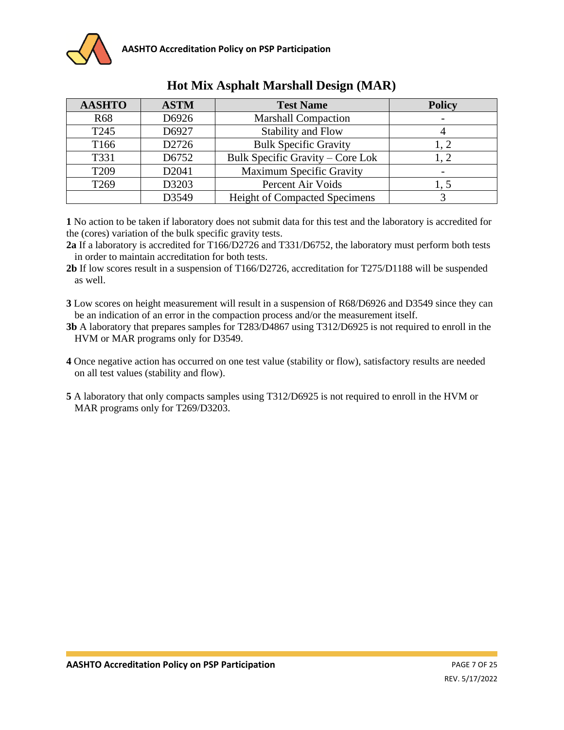| <b>AASHTO</b>    | <b>ASTM</b> | <b>Test Name</b>                     | <b>Policy</b> |
|------------------|-------------|--------------------------------------|---------------|
| <b>R68</b>       | D6926       | <b>Marshall Compaction</b>           |               |
| T <sub>245</sub> | D6927       | <b>Stability and Flow</b>            |               |
| T <sub>166</sub> | D2726       | <b>Bulk Specific Gravity</b>         | 1, 2          |
| T331             | D6752       | Bulk Specific Gravity – Core Lok     | 1.2           |
| T <sub>209</sub> | D2041       | <b>Maximum Specific Gravity</b>      |               |
| T <sub>269</sub> | D3203       | Percent Air Voids                    |               |
|                  | D3549       | <b>Height of Compacted Specimens</b> |               |

# **Hot Mix Asphalt Marshall Design (MAR)**

**1** No action to be taken if laboratory does not submit data for this test and the laboratory is accredited for the (cores) variation of the bulk specific gravity tests.

**2a** If a laboratory is accredited for T166/D2726 and T331/D6752, the laboratory must perform both tests in order to maintain accreditation for both tests.

**2b** If low scores result in a suspension of T166/D2726, accreditation for T275/D1188 will be suspended as well.

**3** Low scores on height measurement will result in a suspension of R68/D6926 and D3549 since they can be an indication of an error in the compaction process and/or the measurement itself.

**3b** A laboratory that prepares samples for T283/D4867 using T312/D6925 is not required to enroll in the HVM or MAR programs only for D3549.

**4** Once negative action has occurred on one test value (stability or flow), satisfactory results are needed on all test values (stability and flow).

**5** A laboratory that only compacts samples using T312/D6925 is not required to enroll in the HVM or MAR programs only for T269/D3203.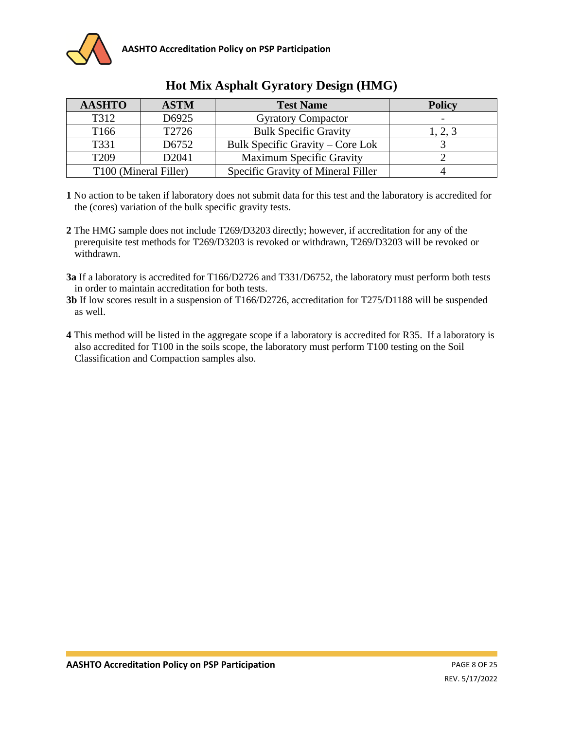

| <b>AASHTO</b>    | <b>ASTM</b>                       | <b>Test Name</b>                   | <b>Policy</b> |
|------------------|-----------------------------------|------------------------------------|---------------|
| T312             | D6925                             | <b>Gyratory Compactor</b>          |               |
| T <sub>166</sub> | T2726                             | <b>Bulk Specific Gravity</b>       | 1, 2, 3       |
| T331             | D6752                             | Bulk Specific Gravity – Core Lok   |               |
| T <sub>209</sub> | D <sub>2041</sub>                 | <b>Maximum Specific Gravity</b>    |               |
|                  | T <sub>100</sub> (Mineral Filler) | Specific Gravity of Mineral Filler |               |

## **Hot Mix Asphalt Gyratory Design (HMG)**

- **1** No action to be taken if laboratory does not submit data for this test and the laboratory is accredited for the (cores) variation of the bulk specific gravity tests.
- **2** The HMG sample does not include T269/D3203 directly; however, if accreditation for any of the prerequisite test methods for T269/D3203 is revoked or withdrawn, T269/D3203 will be revoked or withdrawn.
- **3a** If a laboratory is accredited for T166/D2726 and T331/D6752, the laboratory must perform both tests in order to maintain accreditation for both tests.
- **3b** If low scores result in a suspension of T166/D2726, accreditation for T275/D1188 will be suspended as well.
- **4** This method will be listed in the aggregate scope if a laboratory is accredited for R35. If a laboratory is also accredited for T100 in the soils scope, the laboratory must perform T100 testing on the Soil Classification and Compaction samples also.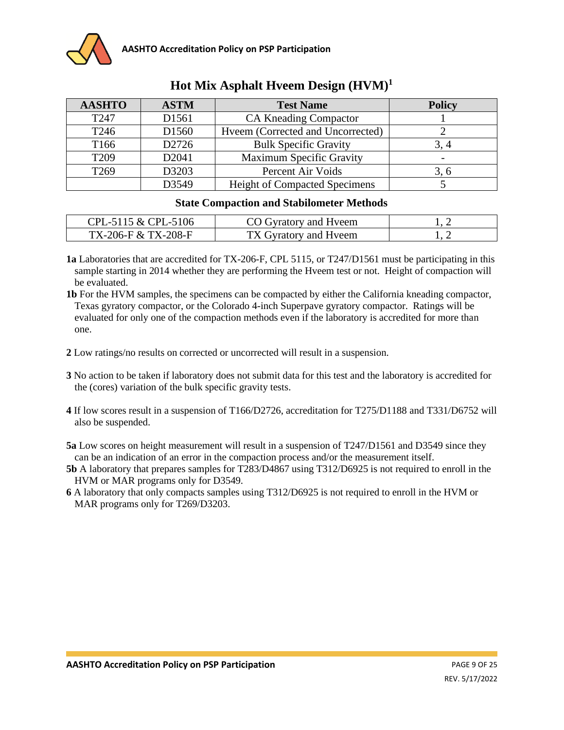| <b>AASHTO</b>    | <b>ASTM</b>       | <b>Test Name</b>                     | <b>Policy</b> |
|------------------|-------------------|--------------------------------------|---------------|
| T <sub>247</sub> | D1561             | <b>CA Kneading Compactor</b>         |               |
| T <sub>246</sub> | D <sub>1560</sub> | Hveem (Corrected and Uncorrected)    |               |
| T <sub>166</sub> | D2726             | <b>Bulk Specific Gravity</b>         |               |
| T <sub>209</sub> | D2041             | <b>Maximum Specific Gravity</b>      |               |
| T <sub>269</sub> | D3203             | Percent Air Voids                    | 3, 6          |
|                  | D3549             | <b>Height of Compacted Specimens</b> |               |

# **Hot Mix Asphalt Hveem Design (HVM)<sup>1</sup>**

#### **State Compaction and Stabilometer Methods**

| CPL-5115 & CPL-5106 | CO Gyratory and Hyeem |  |
|---------------------|-----------------------|--|
| TX-206-F & TX-208-F | TX Gyratory and Hyeem |  |

**1a** Laboratories that are accredited for TX-206-F, CPL 5115, or T247/D1561 must be participating in this sample starting in 2014 whether they are performing the Hveem test or not. Height of compaction will be evaluated.

**1b** For the HVM samples, the specimens can be compacted by either the California kneading compactor, Texas gyratory compactor, or the Colorado 4-inch Superpave gyratory compactor. Ratings will be evaluated for only one of the compaction methods even if the laboratory is accredited for more than one.

- **2** Low ratings/no results on corrected or uncorrected will result in a suspension.
- **3** No action to be taken if laboratory does not submit data for this test and the laboratory is accredited for the (cores) variation of the bulk specific gravity tests.
- **4** If low scores result in a suspension of T166/D2726, accreditation for T275/D1188 and T331/D6752 will also be suspended.

**5a** Low scores on height measurement will result in a suspension of T247/D1561 and D3549 since they can be an indication of an error in the compaction process and/or the measurement itself.

- **5b** A laboratory that prepares samples for T283/D4867 using T312/D6925 is not required to enroll in the HVM or MAR programs only for D3549.
- **6** A laboratory that only compacts samples using T312/D6925 is not required to enroll in the HVM or MAR programs only for T269/D3203.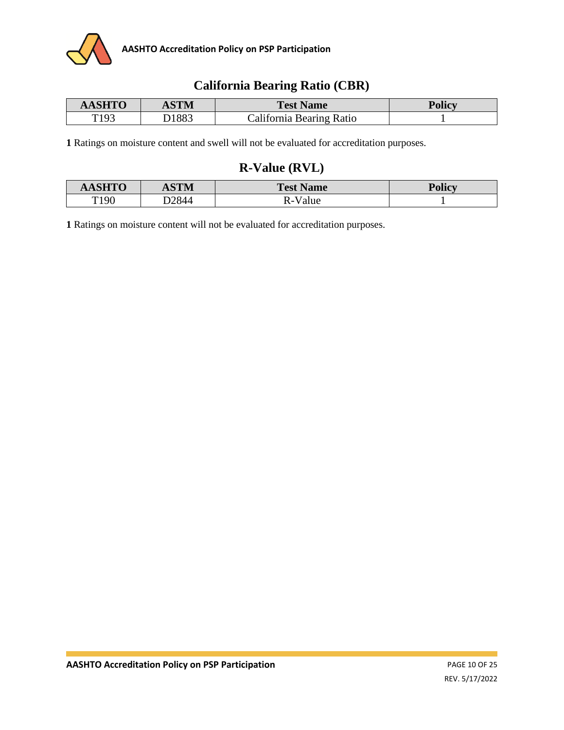

## **California Bearing Ratio (CBR)**

| <b>AASHTO</b> | ASTM  | <b>Test Name</b>         | <b>Policy</b> |
|---------------|-------|--------------------------|---------------|
| T193          | D1883 | California Bearing Ratio |               |

**1** Ratings on moisture content and swell will not be evaluated for accreditation purposes.

# **R-Value (RVL)**

| $\alpha$ of $\mathbf{r}$ $\mathbf{r}$ | <b>ASTM</b>  | <b>Test Name</b>     | $\mathbf{D}_{\alpha}$ lian<br>$\blacksquare$ once |
|---------------------------------------|--------------|----------------------|---------------------------------------------------|
| T <sub>190</sub><br>ュノマ               | <b>D2844</b> | D<br>alue<br>$N - V$ |                                                   |

**1** Ratings on moisture content will not be evaluated for accreditation purposes.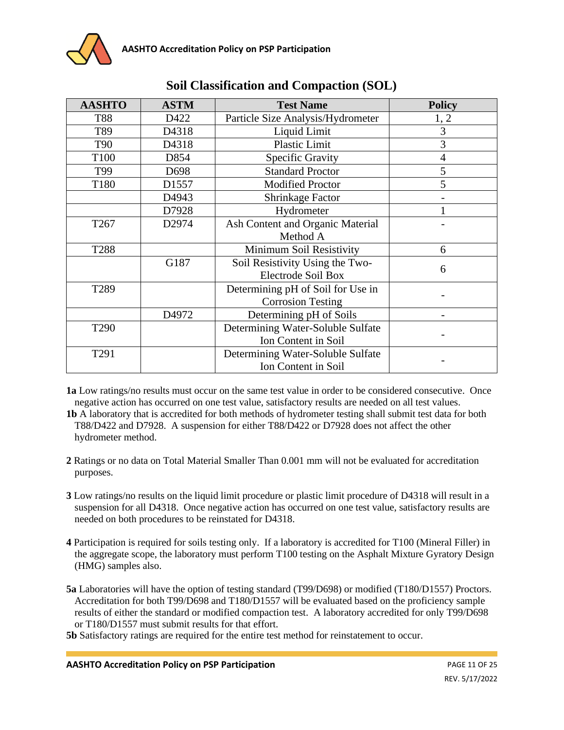| <b>AASHTO</b>    | <b>ASTM</b> | <b>Test Name</b>                  | <b>Policy</b> |  |
|------------------|-------------|-----------------------------------|---------------|--|
| <b>T88</b>       | D422        | Particle Size Analysis/Hydrometer | 1, 2          |  |
| T89              | D4318       | Liquid Limit                      | 3             |  |
| <b>T90</b>       | D4318       | Plastic Limit                     | 3             |  |
| T100             | D854        | Specific Gravity                  | 4             |  |
| T99              | D698        | <b>Standard Proctor</b>           | 5             |  |
| T180             | D1557       | <b>Modified Proctor</b>           | 5             |  |
|                  | D4943       | Shrinkage Factor                  |               |  |
|                  | D7928       | Hydrometer                        |               |  |
| T <sub>267</sub> | D2974       | Ash Content and Organic Material  |               |  |
|                  |             | Method A                          |               |  |
| T288             |             | Minimum Soil Resistivity          | 6             |  |
|                  | G187        | Soil Resistivity Using the Two-   | 6             |  |
|                  |             | <b>Electrode Soil Box</b>         |               |  |
| T289             |             | Determining pH of Soil for Use in |               |  |
|                  |             | <b>Corrosion Testing</b>          |               |  |
|                  | D4972       | Determining pH of Soils           |               |  |
| T <sub>290</sub> |             | Determining Water-Soluble Sulfate |               |  |
|                  |             | Ion Content in Soil               |               |  |
| T291             |             | Determining Water-Soluble Sulfate |               |  |
|                  |             | Ion Content in Soil               |               |  |

# **Soil Classification and Compaction (SOL)**

**1a** Low ratings/no results must occur on the same test value in order to be considered consecutive. Once negative action has occurred on one test value, satisfactory results are needed on all test values.

- **1b** A laboratory that is accredited for both methods of hydrometer testing shall submit test data for both T88/D422 and D7928. A suspension for either T88/D422 or D7928 does not affect the other hydrometer method.
- **2** Ratings or no data on Total Material Smaller Than 0.001 mm will not be evaluated for accreditation purposes.
- **3** Low ratings/no results on the liquid limit procedure or plastic limit procedure of D4318 will result in a suspension for all D4318. Once negative action has occurred on one test value, satisfactory results are needed on both procedures to be reinstated for D4318.
- **4** Participation is required for soils testing only. If a laboratory is accredited for T100 (Mineral Filler) in the aggregate scope, the laboratory must perform T100 testing on the Asphalt Mixture Gyratory Design (HMG) samples also.
- **5a** Laboratories will have the option of testing standard (T99/D698) or modified (T180/D1557) Proctors. Accreditation for both T99/D698 and T180/D1557 will be evaluated based on the proficiency sample results of either the standard or modified compaction test. A laboratory accredited for only T99/D698 or T180/D1557 must submit results for that effort.

**5b** Satisfactory ratings are required for the entire test method for reinstatement to occur.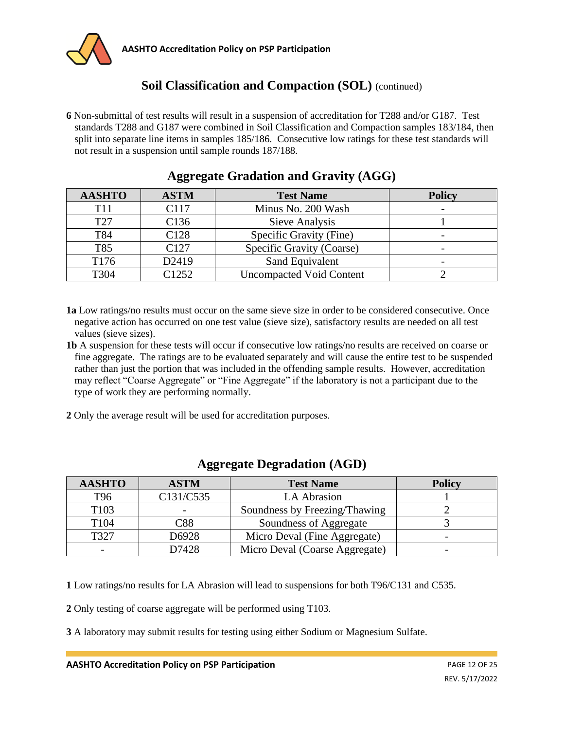

# **Soil Classification and Compaction (SOL)** (continued)

**6** Non-submittal of test results will result in a suspension of accreditation for T288 and/or G187. Test standards T288 and G187 were combined in Soil Classification and Compaction samples 183/184, then split into separate line items in samples 185/186. Consecutive low ratings for these test standards will not result in a suspension until sample rounds 187/188.

| <b>AASHTO</b>    | <b>ASTM</b>       | <b>Test Name</b>                | <b>Policy</b> |
|------------------|-------------------|---------------------------------|---------------|
| T <sub>11</sub>  | C117              | Minus No. 200 Wash              |               |
| T <sub>27</sub>  | C <sub>136</sub>  | Sieve Analysis                  |               |
| T84              | C128              | Specific Gravity (Fine)         |               |
| T85              | C <sub>127</sub>  | Specific Gravity (Coarse)       |               |
| T <sub>176</sub> | D2419             | Sand Equivalent                 |               |
| T304             | C <sub>1252</sub> | <b>Uncompacted Void Content</b> |               |

## **Aggregate Gradation and Gravity (AGG)**

- **1a** Low ratings/no results must occur on the same sieve size in order to be considered consecutive. Once negative action has occurred on one test value (sieve size), satisfactory results are needed on all test values (sieve sizes).
- **1b** A suspension for these tests will occur if consecutive low ratings/no results are received on coarse or fine aggregate. The ratings are to be evaluated separately and will cause the entire test to be suspended rather than just the portion that was included in the offending sample results. However, accreditation may reflect "Coarse Aggregate" or "Fine Aggregate" if the laboratory is not a participant due to the type of work they are performing normally.
- **2** Only the average result will be used for accreditation purposes.

| <b>AASHTO</b>            | <b>ASTM</b> | <b>Test Name</b>               | <b>Policy</b> |
|--------------------------|-------------|--------------------------------|---------------|
| T96                      | C131/C535   | LA Abrasion                    |               |
| T103                     |             | Soundness by Freezing/Thawing  |               |
| T <sub>104</sub>         | C88         | Soundness of Aggregate         |               |
| T327                     | D6928       | Micro Deval (Fine Aggregate)   |               |
| $\overline{\phantom{0}}$ | D7428       | Micro Deval (Coarse Aggregate) |               |

### **Aggregate Degradation (AGD)**

**1** Low ratings/no results for LA Abrasion will lead to suspensions for both T96/C131 and C535.

**2** Only testing of coarse aggregate will be performed using T103.

**3** A laboratory may submit results for testing using either Sodium or Magnesium Sulfate.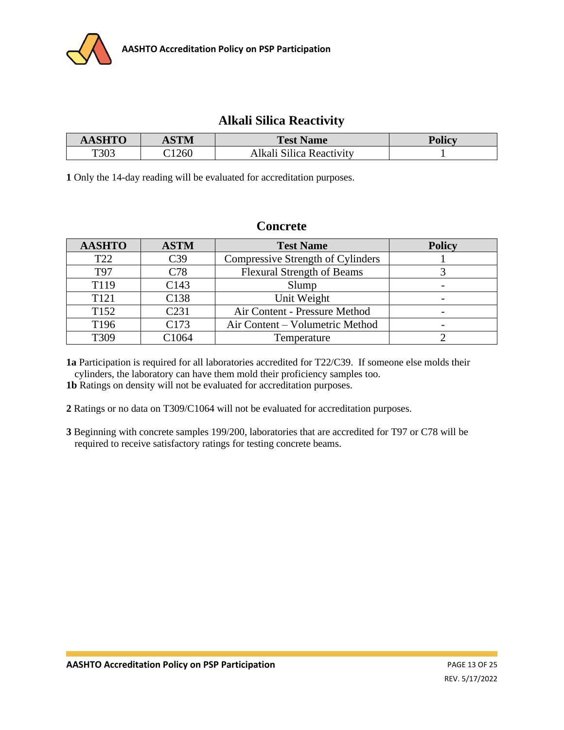

### **Alkali Silica Reactivity**

| <b>AASHTO</b> | <b>ASTM</b> | <b>Test Name</b>         | <b>Policy</b> |
|---------------|-------------|--------------------------|---------------|
| T303          | 1260        | Alkali Silica Reactivity |               |

**1** Only the 14-day reading will be evaluated for accreditation purposes.

### **Concrete**

| <b>AASHTO</b>    | <b>ASTM</b>       | <b>Test Name</b>                  | <b>Policy</b> |
|------------------|-------------------|-----------------------------------|---------------|
| T <sub>22</sub>  | C <sub>39</sub>   | Compressive Strength of Cylinders |               |
| T97              | C78               | <b>Flexural Strength of Beams</b> |               |
| T119             | C <sub>143</sub>  | Slump                             |               |
| T <sub>121</sub> | C <sub>138</sub>  | Unit Weight                       |               |
| T <sub>152</sub> | C <sub>231</sub>  | Air Content - Pressure Method     |               |
| T <sub>196</sub> | C173              | Air Content – Volumetric Method   |               |
| T309             | C <sub>1064</sub> | Temperature                       |               |

**1a** Participation is required for all laboratories accredited for T22/C39. If someone else molds their cylinders, the laboratory can have them mold their proficiency samples too.

**1b** Ratings on density will not be evaluated for accreditation purposes.

**2** Ratings or no data on T309/C1064 will not be evaluated for accreditation purposes.

**3** Beginning with concrete samples 199/200, laboratories that are accredited for T97 or C78 will be required to receive satisfactory ratings for testing concrete beams.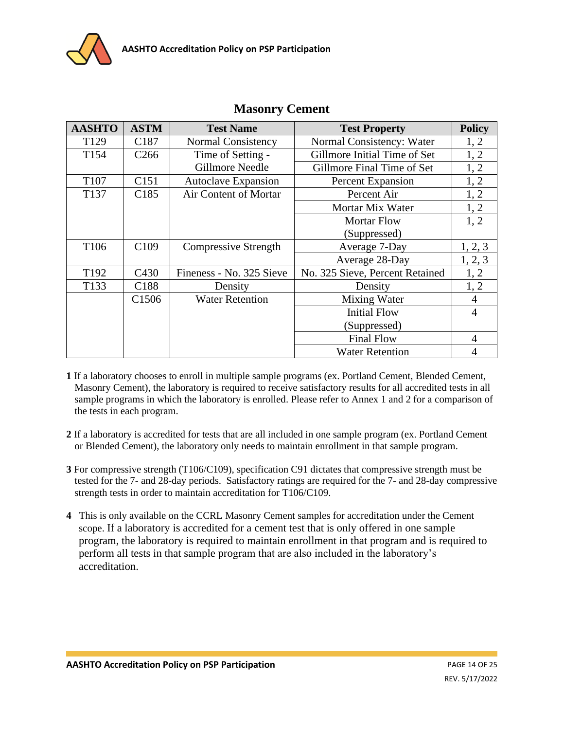

| <b>AASHTO</b>    | <b>ASTM</b>       | <b>Test Name</b>            | <b>Test Property</b>            | <b>Policy</b>  |
|------------------|-------------------|-----------------------------|---------------------------------|----------------|
| T <sub>129</sub> | C <sub>187</sub>  | <b>Normal Consistency</b>   | Normal Consistency: Water       | 1, 2           |
| T154             | C <sub>266</sub>  | Time of Setting -           | Gillmore Initial Time of Set    | 1, 2           |
|                  |                   | <b>Gillmore Needle</b>      | Gillmore Final Time of Set      | 1, 2           |
| T <sub>107</sub> | C <sub>151</sub>  | <b>Autoclave Expansion</b>  | <b>Percent Expansion</b>        | 1, 2           |
| T137             | C <sub>185</sub>  | Air Content of Mortar       | Percent Air                     | 1, 2           |
|                  |                   |                             | Mortar Mix Water                | 1, 2           |
|                  |                   |                             | <b>Mortar Flow</b>              | 1, 2           |
|                  |                   |                             | (Suppressed)                    |                |
| T <sub>106</sub> | C <sub>109</sub>  | <b>Compressive Strength</b> | Average 7-Day                   | 1, 2, 3        |
|                  |                   |                             | Average 28-Day                  | 1, 2, 3        |
| T192             | C <sub>430</sub>  | Fineness - No. 325 Sieve    | No. 325 Sieve, Percent Retained | 1, 2           |
| T133             | C188              | Density                     | Density                         | 1, 2           |
|                  | C <sub>1506</sub> | <b>Water Retention</b>      | Mixing Water                    | $\overline{4}$ |
|                  |                   |                             | <b>Initial Flow</b>             | $\overline{4}$ |
|                  |                   |                             | (Suppressed)                    |                |
|                  |                   |                             | <b>Final Flow</b>               | $\overline{4}$ |
|                  |                   |                             | <b>Water Retention</b>          | 4              |

### **Masonry Cement**

- **1** If a laboratory chooses to enroll in multiple sample programs (ex. Portland Cement, Blended Cement, Masonry Cement), the laboratory is required to receive satisfactory results for all accredited tests in all sample programs in which the laboratory is enrolled. Please refer to Annex 1 and 2 for a comparison of the tests in each program.
- **2** If a laboratory is accredited for tests that are all included in one sample program (ex. Portland Cement or Blended Cement), the laboratory only needs to maintain enrollment in that sample program.
- **3** For compressive strength (T106/C109), specification C91 dictates that compressive strength must be tested for the 7- and 28-day periods. Satisfactory ratings are required for the 7- and 28-day compressive strength tests in order to maintain accreditation for T106/C109.
- **4** This is only available on the CCRL Masonry Cement samples for accreditation under the Cement scope. If a laboratory is accredited for a cement test that is only offered in one sample program, the laboratory is required to maintain enrollment in that program and is required to perform all tests in that sample program that are also included in the laboratory's accreditation.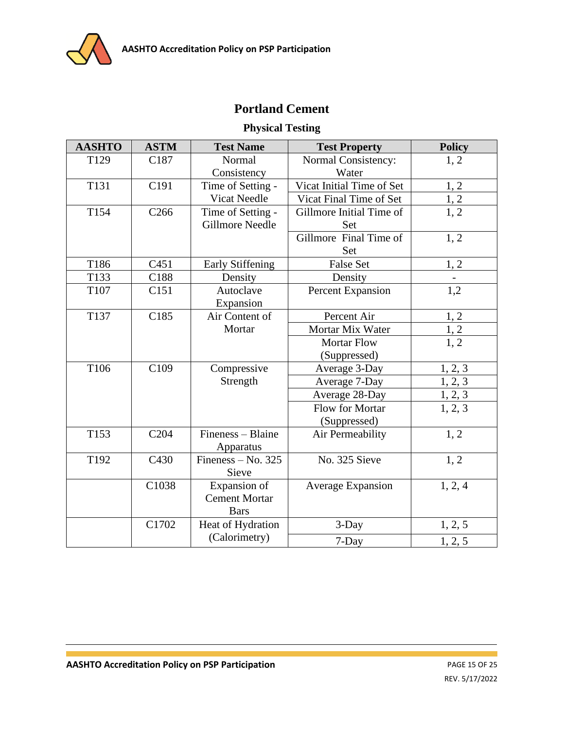

# **Portland Cement**

## **Physical Testing**

| <b>AASHTO</b> | <b>ASTM</b>      | <b>Test Name</b>        | <b>Test Property</b>      | <b>Policy</b>                      |
|---------------|------------------|-------------------------|---------------------------|------------------------------------|
| T129          | C187             | Normal                  | Normal Consistency:       | 1, 2                               |
|               |                  | Consistency             | Water                     |                                    |
| T131          | C191             | Time of Setting -       | Vicat Initial Time of Set | 1, 2                               |
|               |                  | <b>Vicat Needle</b>     | Vicat Final Time of Set   | $\frac{1,2}{1,2}$                  |
| T154          | C <sub>266</sub> | Time of Setting -       | Gillmore Initial Time of  |                                    |
|               |                  | <b>Gillmore Needle</b>  | Set                       |                                    |
|               |                  |                         | Gillmore Final Time of    | 1, 2                               |
|               |                  |                         | Set                       |                                    |
| T186          | C <sub>451</sub> | <b>Early Stiffening</b> | <b>False Set</b>          | 1, 2                               |
| T133          | C188             | Density                 | Density                   |                                    |
| T107          | C <sub>151</sub> | Autoclave               | Percent Expansion         | 1,2                                |
|               |                  | Expansion               |                           |                                    |
| T137          | C185             | Air Content of          | Percent Air               | $\underline{1, 2}$                 |
|               |                  | Mortar                  | Mortar Mix Water          | $\frac{1}{1,2}$<br>$\frac{1}{1,2}$ |
|               |                  |                         | <b>Mortar Flow</b>        |                                    |
|               |                  |                         | (Suppressed)              |                                    |
| T106          | C <sub>109</sub> | Compressive             | Average 3-Day             | 1, 2, 3                            |
|               |                  | Strength                | Average 7-Day             | 1, 2, 3                            |
|               |                  |                         | Average 28-Day            | 1, 2, 3                            |
|               |                  |                         | Flow for Mortar           | 1, 2, 3                            |
|               |                  |                         | (Suppressed)              |                                    |
| T153          | C <sub>204</sub> | Fineness - Blaine       | Air Permeability          | 1, 2                               |
|               |                  | Apparatus               |                           |                                    |
| T192          | C430             | Fineness – No. $325$    | No. 325 Sieve             | 1, 2                               |
|               |                  | Sieve                   |                           |                                    |
|               | C1038            | Expansion of            | <b>Average Expansion</b>  | 1, 2, 4                            |
|               |                  | <b>Cement Mortar</b>    |                           |                                    |
|               |                  | <b>Bars</b>             |                           |                                    |
|               | C1702            | Heat of Hydration       | 3-Day                     | 1, 2, 5                            |
|               |                  | (Calorimetry)           | 7-Day                     | 1, 2, 5                            |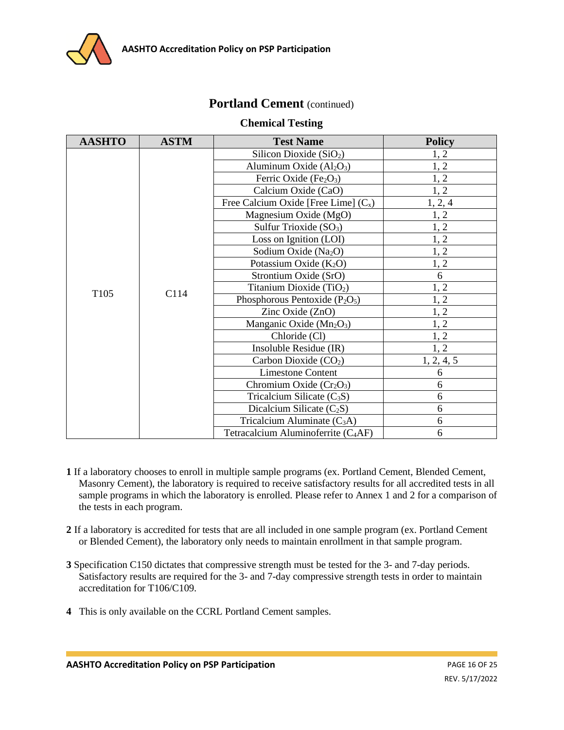

### Portland Cement (continued)

#### **Chemical Testing**

| <b>AASHTO</b>    | <b>ASTM</b> | <b>Test Name</b>                                | <b>Policy</b> |
|------------------|-------------|-------------------------------------------------|---------------|
|                  |             | Silicon Dioxide $(SiO2)$                        | 1, 2          |
|                  |             | Aluminum Oxide $(Al2O3)$                        | 1, 2          |
|                  |             | Ferric Oxide $(Fe2O3)$                          | 1, 2          |
|                  |             | Calcium Oxide (CaO)                             | 1, 2          |
|                  |             | Free Calcium Oxide [Free Lime] $(C_x)$          | 1, 2, 4       |
|                  |             | Magnesium Oxide (MgO)                           | 1, 2          |
|                  |             | Sulfur Trioxide $(SO3)$                         | 1, 2          |
|                  |             | Loss on Ignition (LOI)                          | 1, 2          |
|                  |             | Sodium Oxide (Na <sub>2</sub> O)                | 1, 2          |
|                  | C114        | Potassium Oxide $(K_2O)$                        | 1, 2          |
|                  |             | Strontium Oxide (SrO)                           | 6             |
| T <sub>105</sub> |             | Titanium Dioxide (TiO <sub>2</sub> )            | 1, 2          |
|                  |             | Phosphorous Pentoxide $(P_2O_5)$                | 1, 2          |
|                  |             | Zinc Oxide (ZnO)                                | 1, 2          |
|                  |             | Manganic Oxide $(Mn_2O_3)$                      | 1, 2          |
|                  |             | Chloride (Cl)                                   | 1, 2          |
|                  |             | Insoluble Residue (IR)                          | 1, 2          |
|                  |             | Carbon Dioxide $(CO2)$                          | 1, 2, 4, 5    |
|                  |             | <b>Limestone Content</b>                        | 6             |
|                  |             | Chromium Oxide $(Cr_2O_3)$                      | 6             |
|                  |             | Tricalcium Silicate $(C_3S)$                    | 6             |
|                  |             | Dicalcium Silicate $(C_2S)$                     | 6             |
|                  |             | Tricalcium Aluminate $(C_3A)$                   | 6             |
|                  |             | Tetracalcium Aluminoferrite (C <sub>4</sub> AF) | 6             |

- **1** If a laboratory chooses to enroll in multiple sample programs (ex. Portland Cement, Blended Cement, Masonry Cement), the laboratory is required to receive satisfactory results for all accredited tests in all sample programs in which the laboratory is enrolled. Please refer to Annex 1 and 2 for a comparison of the tests in each program.
- **2** If a laboratory is accredited for tests that are all included in one sample program (ex. Portland Cement or Blended Cement), the laboratory only needs to maintain enrollment in that sample program.
- **3** Specification C150 dictates that compressive strength must be tested for the 3- and 7-day periods. Satisfactory results are required for the 3- and 7-day compressive strength tests in order to maintain accreditation for T106/C109.
- **4** This is only available on the CCRL Portland Cement samples.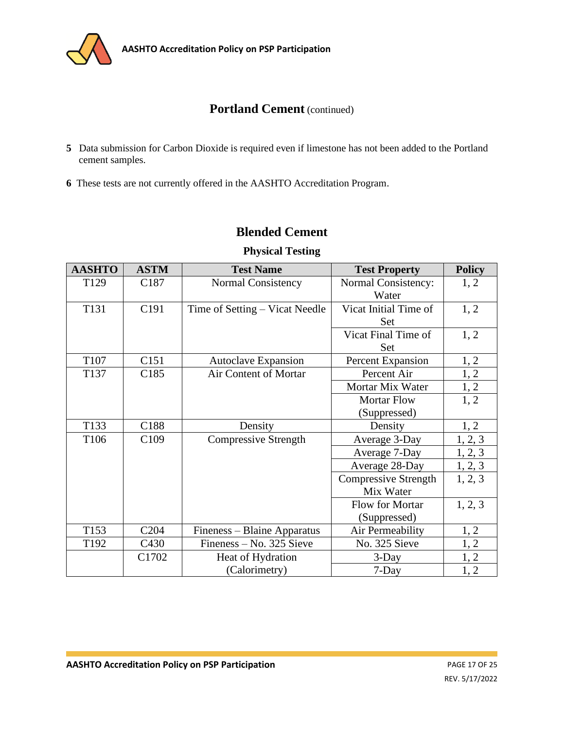

## **Portland Cement** (continued)

- **5** Data submission for Carbon Dioxide is required even if limestone has not been added to the Portland cement samples.
- **6** These tests are not currently offered in the AASHTO Accreditation Program.

# **Blended Cement**

| <b>AASHTO</b>    | <b>ASTM</b>      | <b>Test Name</b>               | <b>Test Property</b>  | <b>Policy</b> |
|------------------|------------------|--------------------------------|-----------------------|---------------|
| T129             | C187             | Normal Consistency             | Normal Consistency:   | 1, 2          |
|                  |                  |                                | Water                 |               |
| T131             | C <sub>191</sub> | Time of Setting - Vicat Needle | Vicat Initial Time of | 1, 2          |
|                  |                  |                                | Set                   |               |
|                  |                  |                                | Vicat Final Time of   | 1, 2          |
|                  |                  |                                | Set                   |               |
| T107             | C151             | <b>Autoclave Expansion</b>     | Percent Expansion     | 1, 2          |
| T137             | C <sub>185</sub> | <b>Air Content of Mortar</b>   | Percent Air           | 1, 2          |
|                  |                  |                                | Mortar Mix Water      | 1, 2          |
|                  |                  |                                | <b>Mortar Flow</b>    | 1, 2          |
|                  |                  |                                | (Suppressed)          |               |
| T133             | C188             | Density                        | Density               | 1, 2          |
| T <sub>106</sub> | C <sub>109</sub> | <b>Compressive Strength</b>    | Average 3-Day         | 1, 2, 3       |
|                  |                  |                                | Average 7-Day         | 1, 2, 3       |
|                  |                  |                                | Average 28-Day        | 1, 2, 3       |
|                  |                  |                                | Compressive Strength  | 1, 2, 3       |
|                  |                  |                                | Mix Water             |               |
|                  |                  |                                | Flow for Mortar       | 1, 2, 3       |
|                  |                  |                                | (Suppressed)          |               |
| T153             | C <sub>204</sub> | Fineness – Blaine Apparatus    | Air Permeability      | 1, 2          |
| T192             | C <sub>430</sub> | Fineness – No. 325 Sieve       | No. 325 Sieve         | 1, 2          |
|                  | C1702            | Heat of Hydration              | $3$ -Day              | 1, 2          |
|                  |                  | (Calorimetry)                  | $7$ -Day              | 1, 2          |

### **Physical Testing**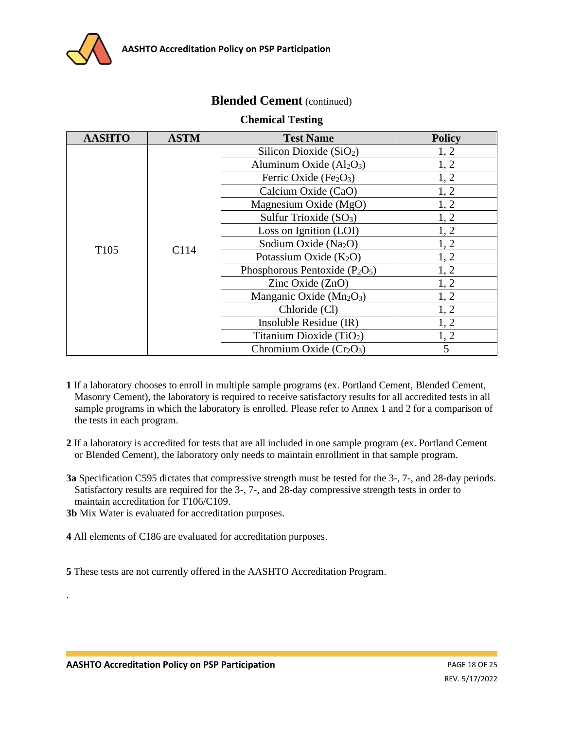

### **Blended Cement** (continued)

#### **Chemical Testing**

| <b>AASHTO</b>    | <b>ASTM</b> | <b>Test Name</b>                    | <b>Policy</b> |
|------------------|-------------|-------------------------------------|---------------|
|                  |             | Silicon Dioxide (SiO <sub>2</sub> ) | 1, 2          |
|                  |             | Aluminum Oxide $(Al_2O_3)$          | 1, 2          |
|                  |             | Ferric Oxide $(Fe2O3)$              | 1, 2          |
|                  |             | Calcium Oxide (CaO)                 | 1, 2          |
|                  |             | Magnesium Oxide (MgO)               | 1, 2          |
|                  | C114        | Sulfur Trioxide $(SO3)$             | 1, 2          |
|                  |             | Loss on Ignition (LOI)              | 1, 2          |
| T <sub>105</sub> |             | Sodium Oxide (Na <sub>2</sub> O)    | 1, 2          |
|                  |             | Potassium Oxide $(K_2O)$            | 1, 2          |
|                  |             | Phosphorous Pentoxide $(P_2O_5)$    | 1, 2          |
|                  |             | Zinc Oxide (ZnO)                    | 1, 2          |
|                  |             | Manganic Oxide $(Mn_2O_3)$          | 1, 2          |
|                  |             | Chloride (Cl)                       | 1, 2          |
|                  |             | Insoluble Residue (IR)              | 1, 2          |
|                  |             | Titanium Dioxide $(TiO2)$           | 1, 2          |
|                  |             | Chromium Oxide $(Cr_2O_3)$          | 5             |

- **1** If a laboratory chooses to enroll in multiple sample programs (ex. Portland Cement, Blended Cement, Masonry Cement), the laboratory is required to receive satisfactory results for all accredited tests in all sample programs in which the laboratory is enrolled. Please refer to Annex 1 and 2 for a comparison of the tests in each program.
- **2** If a laboratory is accredited for tests that are all included in one sample program (ex. Portland Cement or Blended Cement), the laboratory only needs to maintain enrollment in that sample program.
- **3a** Specification C595 dictates that compressive strength must be tested for the 3-, 7-, and 28-day periods. Satisfactory results are required for the 3-, 7-, and 28-day compressive strength tests in order to maintain accreditation for T106/C109.

**3b** Mix Water is evaluated for accreditation purposes.

**4** All elements of C186 are evaluated for accreditation purposes.

**5** These tests are not currently offered in the AASHTO Accreditation Program.

.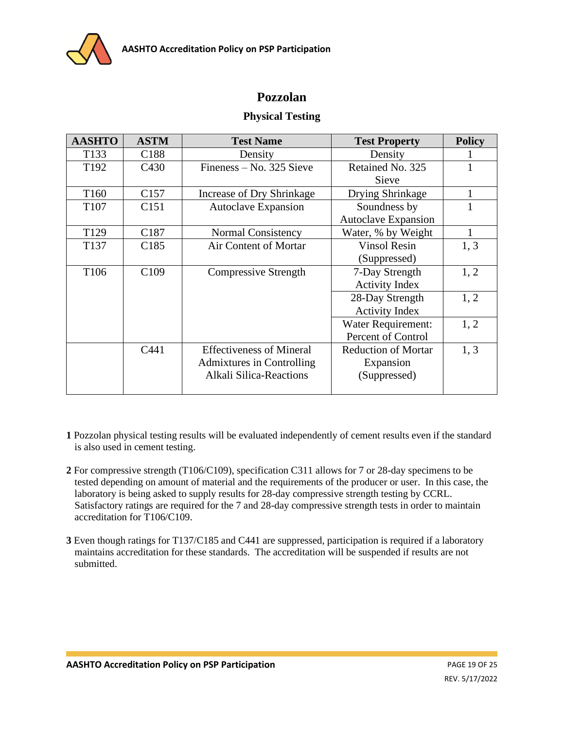

# **Pozzolan**

### **Physical Testing**

| <b>AASHTO</b>    | <b>ASTM</b>      | <b>Test Name</b>                | <b>Test Property</b>       | <b>Policy</b> |
|------------------|------------------|---------------------------------|----------------------------|---------------|
| T <sub>133</sub> | C <sub>188</sub> | Density                         | Density                    |               |
| T <sub>192</sub> | C <sub>430</sub> | $F$ ineness – No. 325 Sieve     | Retained No. 325           |               |
|                  |                  |                                 | Sieve                      |               |
| T <sub>160</sub> | C <sub>157</sub> | Increase of Dry Shrinkage       | Drying Shrinkage           |               |
| T <sub>107</sub> | C <sub>151</sub> | <b>Autoclave Expansion</b>      | Soundness by               |               |
|                  |                  |                                 | <b>Autoclave Expansion</b> |               |
| T <sub>129</sub> | C187             | <b>Normal Consistency</b>       | Water, % by Weight         |               |
| T <sub>137</sub> | C <sub>185</sub> | Air Content of Mortar           | <b>Vinsol Resin</b>        | 1, 3          |
|                  |                  |                                 | (Suppressed)               |               |
| T <sub>106</sub> | C <sub>109</sub> | <b>Compressive Strength</b>     | 7-Day Strength             | 1, 2          |
|                  |                  |                                 | <b>Activity Index</b>      |               |
|                  |                  |                                 | 28-Day Strength            | 1, 2          |
|                  |                  |                                 | <b>Activity Index</b>      |               |
|                  |                  |                                 | Water Requirement:         | 1, 2          |
|                  |                  |                                 | Percent of Control         |               |
|                  | C441             | <b>Effectiveness of Mineral</b> | <b>Reduction of Mortar</b> | 1, 3          |
|                  |                  | Admixtures in Controlling       | Expansion                  |               |
|                  |                  | <b>Alkali Silica-Reactions</b>  | (Suppressed)               |               |
|                  |                  |                                 |                            |               |

- **1** Pozzolan physical testing results will be evaluated independently of cement results even if the standard is also used in cement testing.
- **2** For compressive strength (T106/C109), specification C311 allows for 7 or 28-day specimens to be tested depending on amount of material and the requirements of the producer or user. In this case, the laboratory is being asked to supply results for 28-day compressive strength testing by CCRL. Satisfactory ratings are required for the 7 and 28-day compressive strength tests in order to maintain accreditation for T106/C109.
- **3** Even though ratings for T137/C185 and C441 are suppressed, participation is required if a laboratory maintains accreditation for these standards. The accreditation will be suspended if results are not submitted.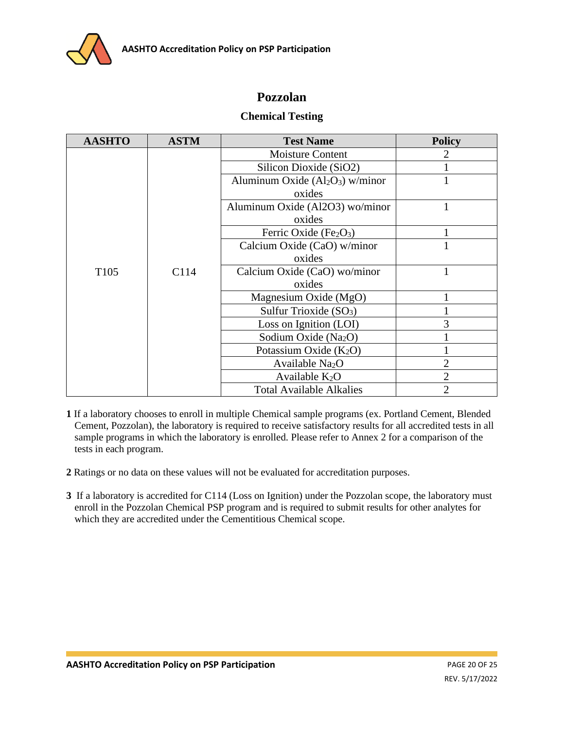

## **Pozzolan**

#### **Chemical Testing**

| <b>AASHTO</b>    | <b>ASTM</b> | <b>Test Name</b>                 | <b>Policy</b>  |
|------------------|-------------|----------------------------------|----------------|
|                  |             | <b>Moisture Content</b>          | 2              |
|                  |             | Silicon Dioxide (SiO2)           |                |
|                  |             | Aluminum Oxide $(Al2O3)$ w/minor |                |
|                  |             | oxides                           |                |
|                  |             | Aluminum Oxide (Al2O3) wo/minor  | 1              |
|                  |             | oxides                           |                |
|                  |             | Ferric Oxide $(Fe2O3)$           |                |
|                  |             | Calcium Oxide (CaO) w/minor      |                |
|                  |             | oxides                           |                |
| T <sub>105</sub> | C114        | Calcium Oxide (CaO) wo/minor     |                |
|                  |             | oxides                           |                |
|                  |             | Magnesium Oxide (MgO)            |                |
|                  |             | Sulfur Trioxide $(SO3)$          |                |
|                  |             | Loss on Ignition (LOI)           | 3              |
|                  |             | Sodium Oxide (Na <sub>2</sub> O) |                |
|                  |             | Potassium Oxide $(K_2O)$         |                |
|                  |             | Available Na <sub>2</sub> O      | $\overline{2}$ |
|                  |             | Available $K_2O$                 | $\overline{2}$ |
|                  |             | <b>Total Available Alkalies</b>  | $\overline{2}$ |

**1** If a laboratory chooses to enroll in multiple Chemical sample programs (ex. Portland Cement, Blended Cement, Pozzolan), the laboratory is required to receive satisfactory results for all accredited tests in all sample programs in which the laboratory is enrolled. Please refer to Annex 2 for a comparison of the tests in each program.

**2** Ratings or no data on these values will not be evaluated for accreditation purposes.

**3** If a laboratory is accredited for C114 (Loss on Ignition) under the Pozzolan scope, the laboratory must enroll in the Pozzolan Chemical PSP program and is required to submit results for other analytes for which they are accredited under the Cementitious Chemical scope.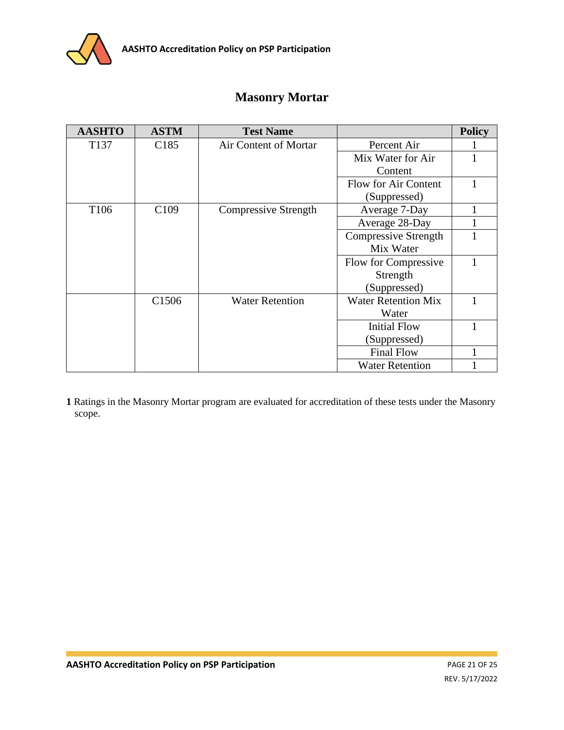

# **Masonry Mortar**

| <b>AASHTO</b>    | <b>ASTM</b>       | <b>Test Name</b>            |                            | <b>Policy</b> |
|------------------|-------------------|-----------------------------|----------------------------|---------------|
| T <sub>137</sub> | C <sub>185</sub>  | Air Content of Mortar       | Percent Air                |               |
|                  |                   |                             | Mix Water for Air          |               |
|                  |                   |                             | Content                    |               |
|                  |                   |                             | Flow for Air Content       |               |
|                  |                   |                             | (Suppressed)               |               |
| T <sub>106</sub> | C <sub>109</sub>  | <b>Compressive Strength</b> | Average 7-Day              |               |
|                  |                   |                             | Average 28-Day             |               |
|                  |                   |                             | Compressive Strength       |               |
|                  |                   |                             | Mix Water                  |               |
|                  |                   |                             | Flow for Compressive       |               |
|                  |                   |                             | Strength                   |               |
|                  |                   |                             | (Suppressed)               |               |
|                  | C <sub>1506</sub> | <b>Water Retention</b>      | <b>Water Retention Mix</b> |               |
|                  |                   |                             | Water                      |               |
|                  |                   |                             | <b>Initial Flow</b>        |               |
|                  |                   |                             | (Suppressed)               |               |
|                  |                   |                             | <b>Final Flow</b>          |               |
|                  |                   |                             | <b>Water Retention</b>     |               |

**1** Ratings in the Masonry Mortar program are evaluated for accreditation of these tests under the Masonry scope.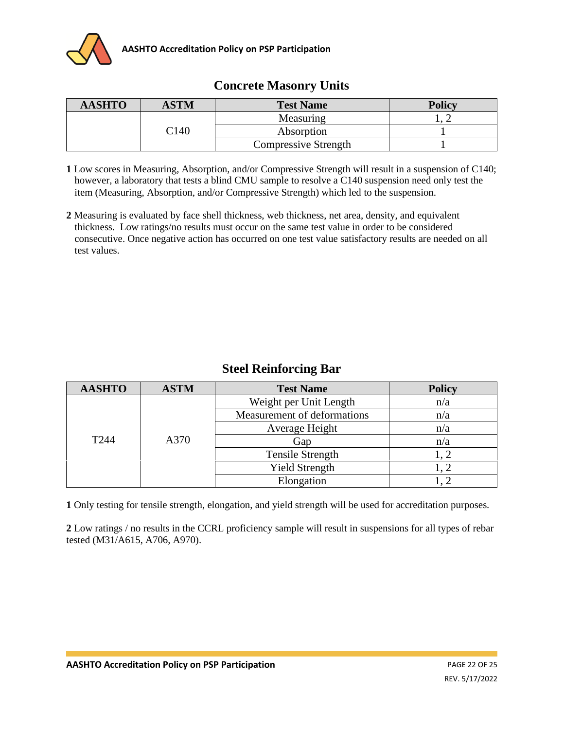

### **Concrete Masonry Units**

| <b>AASHTO</b> | ASTM | <b>Test Name</b>            | <b>Policy</b> |
|---------------|------|-----------------------------|---------------|
|               |      | Measuring                   |               |
|               | C140 | Absorption                  |               |
|               |      | <b>Compressive Strength</b> |               |

- **1** Low scores in Measuring, Absorption, and/or Compressive Strength will result in a suspension of C140; however, a laboratory that tests a blind CMU sample to resolve a C140 suspension need only test the item (Measuring, Absorption, and/or Compressive Strength) which led to the suspension.
- **2** Measuring is evaluated by face shell thickness, web thickness, net area, density, and equivalent thickness. Low ratings/no results must occur on the same test value in order to be considered consecutive. Once negative action has occurred on one test value satisfactory results are needed on all test values.

## **Steel Reinforcing Bar**

| <b>AASHTO</b> | <b>ASTM</b> | <b>Test Name</b>            | <b>Policy</b> |
|---------------|-------------|-----------------------------|---------------|
| T244          | A370        | Weight per Unit Length      | n/a           |
|               |             | Measurement of deformations | n/a           |
|               |             | Average Height              | n/a           |
|               |             | Gap                         | n/a           |
|               |             | Tensile Strength            |               |
|               |             | <b>Yield Strength</b>       |               |
|               |             | Elongation                  |               |

**1** Only testing for tensile strength, elongation, and yield strength will be used for accreditation purposes.

**2** Low ratings / no results in the CCRL proficiency sample will result in suspensions for all types of rebar tested (M31/A615, A706, A970).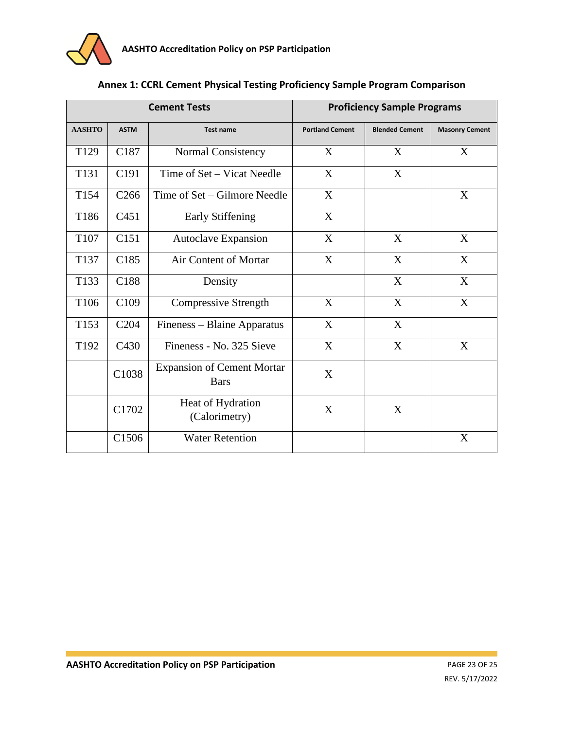

| Annex 1: CCRL Cement Physical Testing Proficiency Sample Program Comparison |  |  |  |
|-----------------------------------------------------------------------------|--|--|--|
|-----------------------------------------------------------------------------|--|--|--|

| <b>Cement Tests</b> |                  |                                                  |                        | <b>Proficiency Sample Programs</b> |                       |
|---------------------|------------------|--------------------------------------------------|------------------------|------------------------------------|-----------------------|
| <b>AASHTO</b>       | <b>ASTM</b>      | Test name                                        | <b>Portland Cement</b> | <b>Blended Cement</b>              | <b>Masonry Cement</b> |
| T <sub>129</sub>    | C <sub>187</sub> | Normal Consistency                               | X                      | X                                  | X                     |
| T131                | C191             | Time of Set – Vicat Needle                       | X                      | X                                  |                       |
| T154                | C <sub>266</sub> | Time of Set – Gilmore Needle                     | X                      |                                    | X                     |
| T186                | C <sub>451</sub> | Early Stiffening                                 | X                      |                                    |                       |
| T107                | C <sub>151</sub> | <b>Autoclave Expansion</b>                       | X                      | X                                  | X                     |
| T137                | C <sub>185</sub> | <b>Air Content of Mortar</b>                     | X                      | X                                  | X                     |
| T133                | C188             | Density                                          |                        | X                                  | X                     |
| T106                | C <sub>109</sub> | <b>Compressive Strength</b>                      | X                      | X                                  | X                     |
| T <sub>153</sub>    | C <sub>204</sub> | Fineness - Blaine Apparatus                      | X                      | X                                  |                       |
| T192                | C430             | Fineness - No. 325 Sieve                         | X                      | X                                  | X                     |
|                     | C1038            | <b>Expansion of Cement Mortar</b><br><b>Bars</b> | X                      |                                    |                       |
|                     | C1702            | Heat of Hydration<br>(Calorimetry)               | X                      | X                                  |                       |
|                     | C1506            | <b>Water Retention</b>                           |                        |                                    | X                     |

T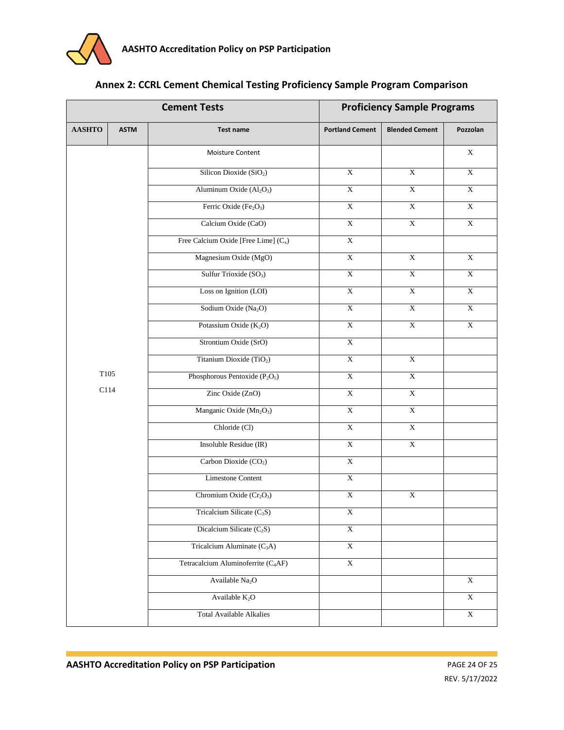| <b>Cement Tests</b> |             |                                                  |                         | <b>Proficiency Sample Programs</b> |                         |  |
|---------------------|-------------|--------------------------------------------------|-------------------------|------------------------------------|-------------------------|--|
| <b>AASHTO</b>       | <b>ASTM</b> | <b>Test name</b>                                 | <b>Portland Cement</b>  | <b>Blended Cement</b>              | Pozzolan                |  |
|                     |             | Moisture Content                                 |                         |                                    | $\mathbf X$             |  |
|                     |             | Silicon Dioxide (SiO <sub>2</sub> )              | $\overline{X}$          | $\mathbf X$                        | $\overline{X}$          |  |
|                     |             | Aluminum Oxide (Al <sub>2</sub> O <sub>3</sub> ) | $\overline{\textbf{X}}$ | $\overline{\textbf{X}}$            | $\overline{\textbf{X}}$ |  |
|                     |             | Ferric Oxide (Fe <sub>2</sub> O <sub>3</sub> )   | $\overline{\textbf{X}}$ | $\bold{X}$                         | $\overline{\textbf{X}}$ |  |
|                     |             | Calcium Oxide (CaO)                              | $\overline{\textbf{X}}$ | $\bold{X}$                         | $\overline{\textbf{X}}$ |  |
|                     |             | Free Calcium Oxide [Free Lime] $(C_x)$           | $\overline{\textbf{X}}$ |                                    |                         |  |
|                     |             | Magnesium Oxide (MgO)                            | $\overline{\text{X}}$   | $\overline{X}$                     | $\overline{X}$          |  |
|                     |             | Sulfur Trioxide (SO <sub>3</sub> )               | $\bold{X}$              | $\mathbf X$                        | $\bold{X}$              |  |
|                     |             | Loss on Ignition (LOI)                           | $\overline{X}$          | $\overline{\text{X}}$              | $\overline{\text{X}}$   |  |
|                     |             | Sodium Oxide (Na <sub>2</sub> O)                 | $\overline{\textbf{X}}$ | $\boldsymbol{\mathrm{X}}$          | $\overline{\textbf{X}}$ |  |
|                     |             | Potassium Oxide $(K_2O)$                         | $\overline{\textbf{X}}$ | $\mathbf X$                        | $\mathbf X$             |  |
|                     |             | Strontium Oxide (SrO)                            | $\mathbf X$             |                                    |                         |  |
|                     |             | Titanium Dioxide (TiO <sub>2</sub> )             | $\mathbf X$             | $\overline{\textbf{X}}$            |                         |  |
| T105                |             | Phosphorous Pentoxide $(P_2O_5)$                 | $\bold{X}$              | $\mathbf X$                        |                         |  |
| C114                |             | Zinc Oxide (ZnO)                                 | $\mathbf X$             | $\mathbf X$                        |                         |  |
|                     |             | Manganic Oxide (Mn <sub>2</sub> O <sub>3</sub> ) | $\overline{X}$          | $\overline{X}$                     |                         |  |
|                     |             | Chloride (Cl)                                    | $\overline{\textbf{X}}$ | $\bold{X}$                         |                         |  |
|                     |             | Insoluble Residue (IR)                           | $\overline{\textbf{X}}$ | $\boldsymbol{\mathrm{X}}$          |                         |  |
|                     |             | Carbon Dioxide (CO <sub>2</sub> )                | $\mathbf X$             |                                    |                         |  |
|                     |             | <b>Limestone Content</b>                         | $\overline{X}$          |                                    |                         |  |
|                     |             | Chromium Oxide (Cr <sub>2</sub> O <sub>3</sub> ) | $\overline{\text{X}}$   | $\overline{X}$                     |                         |  |
|                     |             | Tricalcium Silicate $(C_3S)$                     | $\overline{\textbf{X}}$ |                                    |                         |  |
|                     |             | Dicalcium Silicate (C <sub>2</sub> S)            | $\mathbf X$             |                                    |                         |  |
|                     |             | Tricalcium Aluminate $(C_3A)$                    | $\mathbf X$             |                                    |                         |  |
|                     |             | Tetracalcium Aluminoferrite (C <sub>4</sub> AF)  | $\overline{\textbf{X}}$ |                                    |                         |  |
|                     |             | Available Na <sub>2</sub> O                      |                         |                                    | $\overline{\textbf{X}}$ |  |
|                     |             | Available $K_2O$                                 |                         |                                    | $\bold{X}$              |  |
|                     |             | <b>Total Available Alkalies</b>                  |                         |                                    | $\bold{X}$              |  |

### **Annex 2: CCRL Cement Chemical Testing Proficiency Sample Program Comparison**